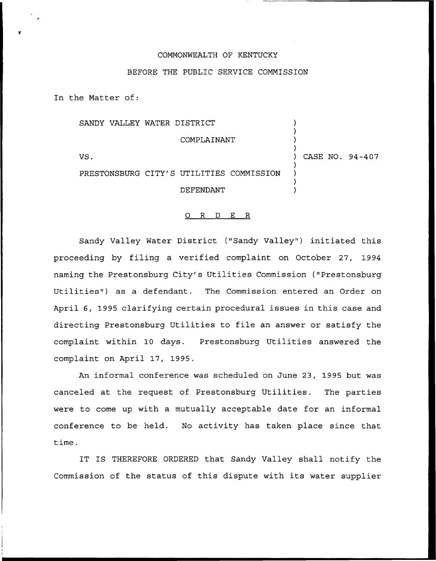## COMMONWEALTH OF KENTUCKY

## BEFORE THE PUBLIC SERVICE COMMISSION

In the Matter of:

|     | SANDY VALLEY WATER DISTRICT              |                 |
|-----|------------------------------------------|-----------------|
|     | COMPLAINANT                              |                 |
| VS. |                                          | CASE NO. 94-407 |
|     | PRESTONSBURG CITY'S UTILITIES COMMISSION |                 |
|     | DEFENDANT                                |                 |

## 0 R <sup>D</sup> E R

Sandy Valley Water District ("Sandy Valley") initiated this proceeding by filing a verified complaint on October 27, 1994 naming the Prestonsburg City's Utilities Commission ("Prestonsburg Utilities") as a defendant. The Commission entered an Order on April 6, 1995 clarifying certain procedural issues in this case and directing Prestonsburg Utilities to file an answer or satisfy the complaint within 10 days. Prestonsburg Utilities answered the complaint on April 17, 1995.

An informal conference was scheduled on June 23, 1995 but was canceled at the request of Prestonsburg Utilities. The parties were to come up with a mutually acceptable date for an informal conference to be held. No activity has taken place since that time.

IT IS THEREFORE ORDERED that Sandy Valley shall notify the Commission of the status of this dispute with its water supplier